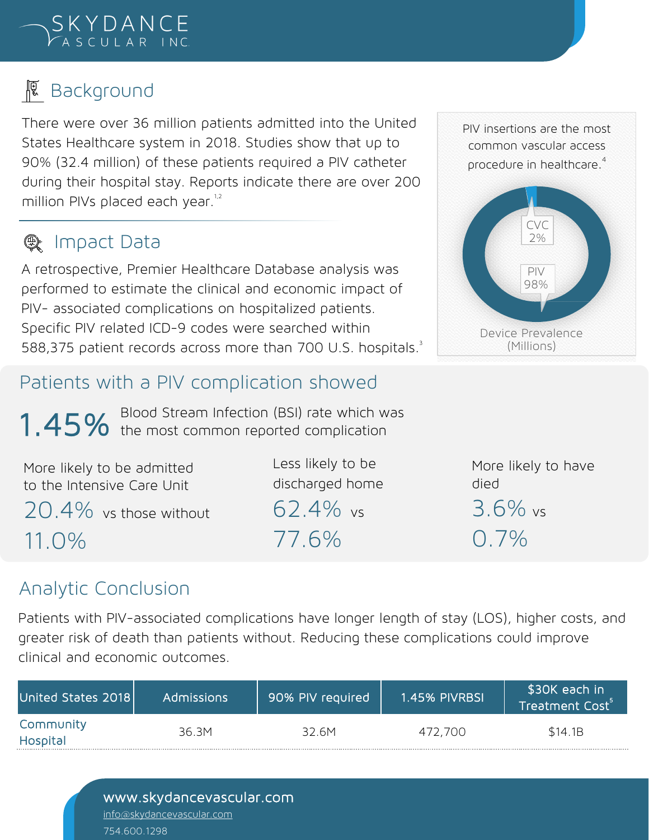# SKYDANCE<br>GASCULAR INC.

### **图 Background**

There were over 36 million patients admitted into the United States Healthcare system in 2018. Studies show that up to 90% (32.4 million) of these patients required a PIV catheter during their hospital stay. Reports indicate there are over 200 million PIVs placed each year.<sup>1,2</sup>

#### **Q** Impact Data

A retrospective, Premier Healthcare Database analysis was performed to estimate the clinical and economic impact of PIV- associated complications on hospitalized patients. Specific PIV related ICD-9 codes were searched within 588,375 patient records across more than 700 U.S. hospitals.<sup>3</sup>

#### Patients with a PIV complication showed

1.45% Blood Stream Infection (BSI) rate which was 1.45% the most common reported complication

More likely to be admitted to the Intensive Care Unit 20.4% vs those without 11.0%

Less likely to be discharged home 62.4% vs 77.6%

PIV insertions are the most common vascular access procedure in healthcare. 4



More likely to have died 3.6% vs 0.7%

#### Analytic Conclusion

Patients with PIV-associated complications have longer length of stay (LOS), higher costs, and greater risk of death than patients without. Reducing these complications could improve clinical and economic outcomes.

| United States 2018    | <b>Admissions</b> | 90% PIV required | 1.45% PIVRBSI | \$30K each in<br>Treatment Cost <sup>5</sup> |
|-----------------------|-------------------|------------------|---------------|----------------------------------------------|
| Community<br>Hospital | 36.3M             | 32.6M            | 472,700       | \$14.1B                                      |

[info@skydancevascular.com](mailto:Tinfo@skydancevascular.com) 754.600.1298 www.skydancevascular.com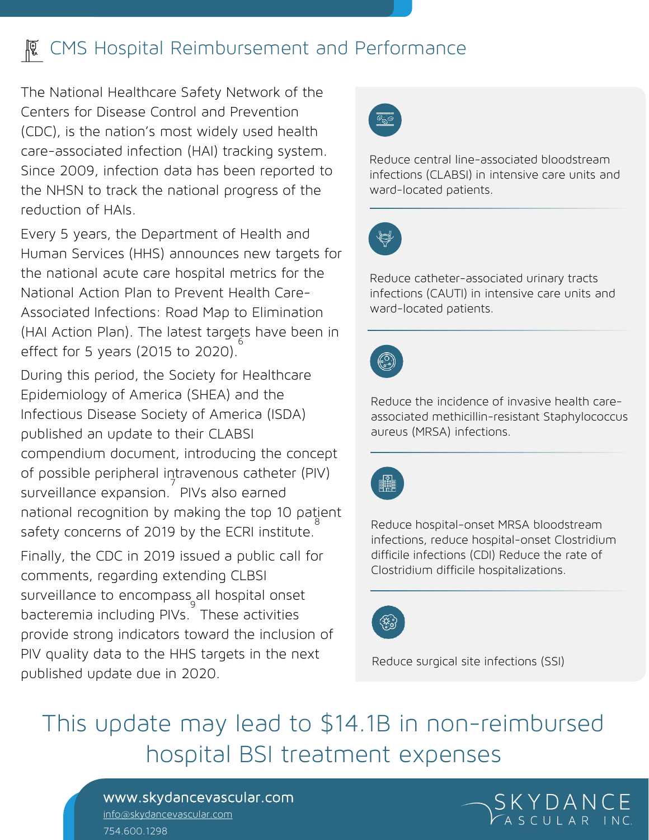#### **|| CMS Hospital Reimbursement and Performance**

The National Healthcare Safety Network of the Centers for Disease Control and Prevention (CDC), is the nation's most widely used health care-associated infection (HAI) tracking system. Since 2009, infection data has been reported to the NHSN to track the national progress of the reduction of HAIs.

Every 5 years, the Department of Health and Human Services (HHS) announces new targets for the national acute care hospital metrics for the National Action Plan to Prevent Health Care-Associated Infections: Road Map to Elimination (HAI Action Plan). The latest targets have been in 6 effect for 5 years (2015 to 2020).

During this period, the Society for Healthcare Epidemiology of America (SHEA) and the Infectious Disease Society of America (ISDA) published an update to their CLABSI compendium document, introducing the concept of possible peripheral intravenous catheter (PIV) surveillance expansion. PIVs also earned national recognition by making the top 10 pa $\frac{1}{8}$ ent safety concerns of 2019 by the ECRI institute.

Finally, the CDC in 2019 issued a public call for comments, regarding extending CLBSI surveillance to encompass<sub>, all</sub> hospital onset bacteremia including PIVs. These activities provide strong indicators toward the inclusion of PIV quality data to the HHS targets in the next published update due in 2020.



Reduce central line-associated bloodstream infections (CLABSI) in intensive care units and ward-located patients.



Reduce catheter-associated urinary tracts infections (CAUTI) in intensive care units and ward-located patients.



Reduce the incidence of invasive health careassociated methicillin-resistant Staphylococcus aureus (MRSA) infections.



Reduce hospital-onset MRSA bloodstream infections, reduce hospital-onset Clostridium difficile infections (CDI) Reduce the rate of Clostridium difficile hospitalizations.



Reduce surgical site infections (SSI)

## This update may lead to \$14.1B in non-reimbursed hospital BSI treatment expenses

[info@skydancevascular.com](mailto:Tinfo@skydancevascular.com) 754.600.1298 www.skydancevascular.com